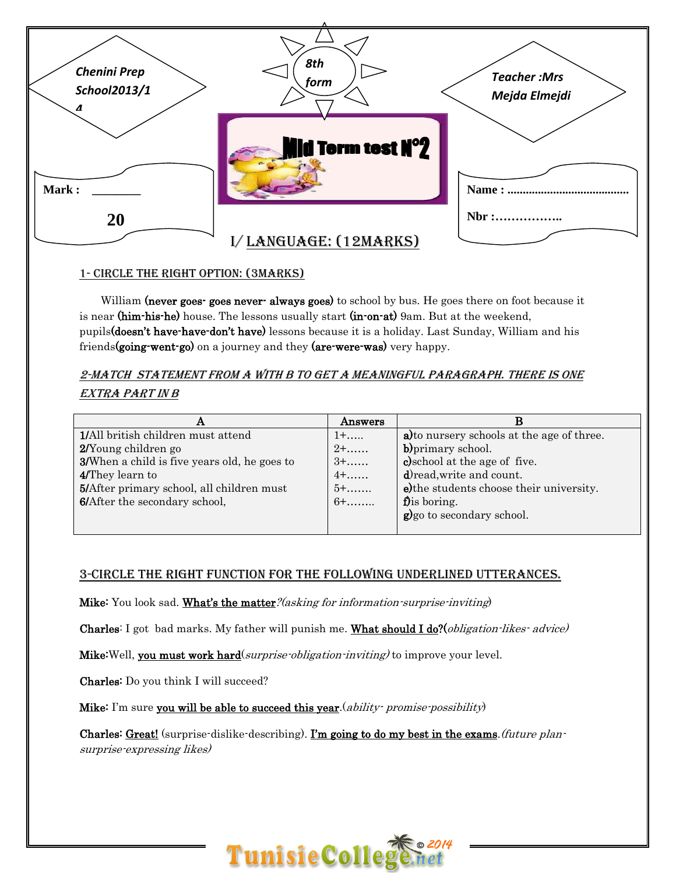

#### 1- Circle the right option: (3marks)

William (never goes- goes never- always goes) to school by bus. He goes there on foot because it is near (him-his-he) house. The lessons usually start (in-on-at) 9am. But at the weekend, pupils(doesn't have-have-don't have) lessons because it is a holiday. Last Sunday, William and his friends (going-went-go) on a journey and they (are-were-was) very happy.

## 2-MATCH STATEMENT FROM A WITH B TO GET A MEANINGFUL PARAGRAPH. THERE IS ONE extra part in B

| Answers     | В                                          |
|-------------|--------------------------------------------|
| $1 + \dots$ | a) to nursery schools at the age of three. |
| $2 + \dots$ | b) primary school.                         |
| $3+$        | c) school at the age of five.              |
| $4+$        | d) read, write and count.                  |
| $5+$        | e) the students choose their university.   |
| $6+$        | $\mathbf f$ ) is boring.                   |
|             | g)go to secondary school.                  |
|             |                                            |

### 3-CIRCLE THE RIGHT FUNCTION FOR THE FOLLOWING UNDERLINED UTTERANCES.

Mike: You look sad. What's the matter? (asking for information-surprise-inviting)

Charles: I got bad marks. My father will punish me. What should I do?(*obligation-likes-advice*)

**Mike:**Well, **<u>you must work hard</u>(surprise-obligation-inviting)** to improve your level.

Charles: Do you think I will succeed?

**Mike:** I'm sure **you will be able to succeed this year** (ability promise possibility)

Charles: <u>Great!</u> (surprise-dislike-describing). <u>I'm going to do my best in the exams</u>. (future plansurprise-expressing likes)